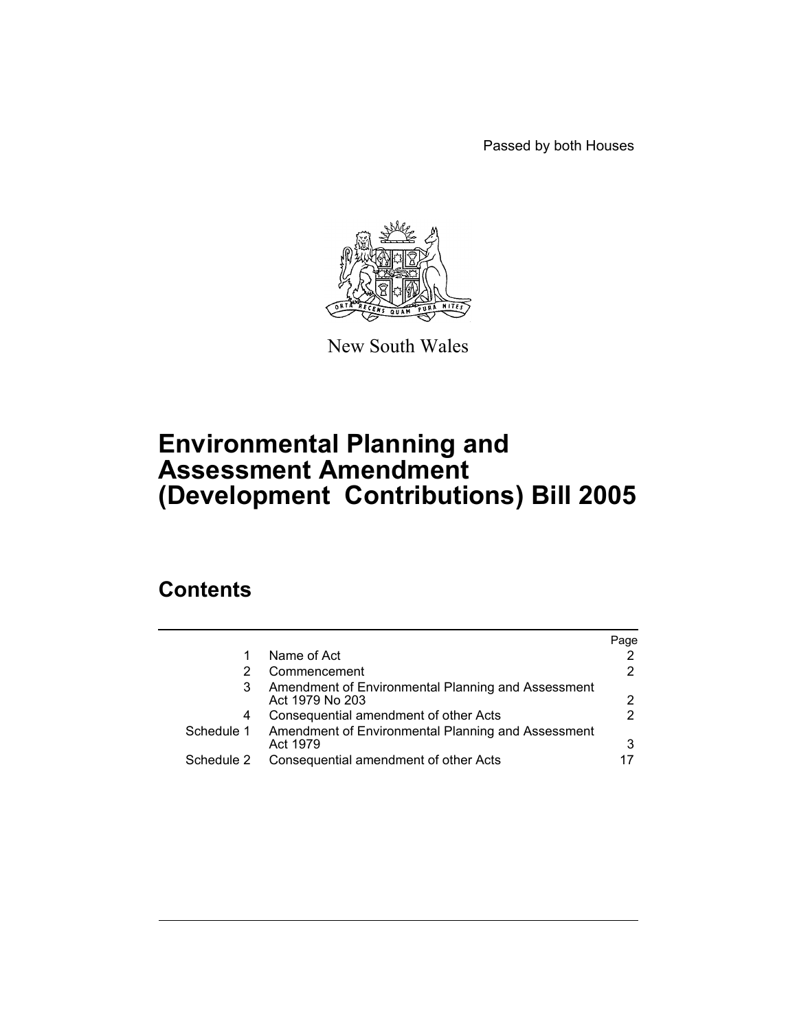Passed by both Houses



New South Wales

# **Environmental Planning and Assessment Amendment (Development Contributions) Bill 2005**

# **Contents**

|            |                                                                       | Page |
|------------|-----------------------------------------------------------------------|------|
|            | Name of Act                                                           |      |
|            | Commencement                                                          |      |
| 3          | Amendment of Environmental Planning and Assessment<br>Act 1979 No 203 |      |
| 4          | Consequential amendment of other Acts                                 |      |
| Schedule 1 | Amendment of Environmental Planning and Assessment<br>Act 1979        |      |
| Schedule 2 | Consequential amendment of other Acts                                 |      |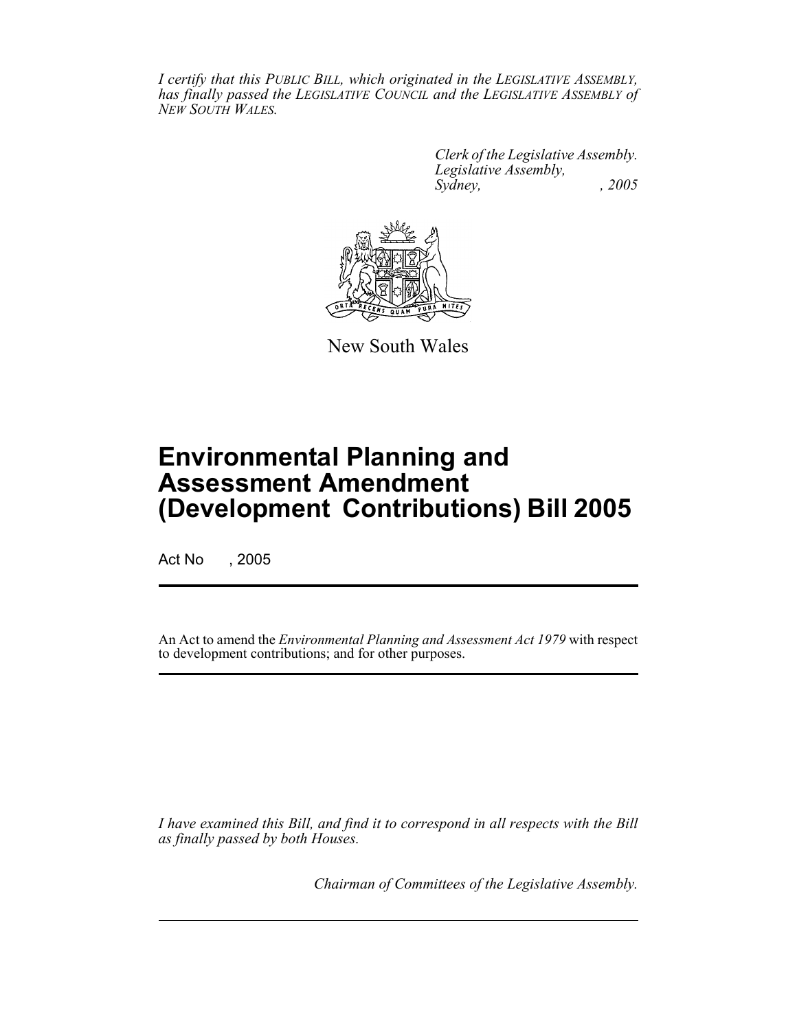*I certify that this PUBLIC BILL, which originated in the LEGISLATIVE ASSEMBLY, has finally passed the LEGISLATIVE COUNCIL and the LEGISLATIVE ASSEMBLY of NEW SOUTH WALES.*

> *Clerk of the Legislative Assembly. Legislative Assembly, Sydney, , 2005*



New South Wales

# **Environmental Planning and Assessment Amendment (Development Contributions) Bill 2005**

Act No , 2005

An Act to amend the *Environmental Planning and Assessment Act 1979* with respect to development contributions; and for other purposes.

*I have examined this Bill, and find it to correspond in all respects with the Bill as finally passed by both Houses.*

*Chairman of Committees of the Legislative Assembly.*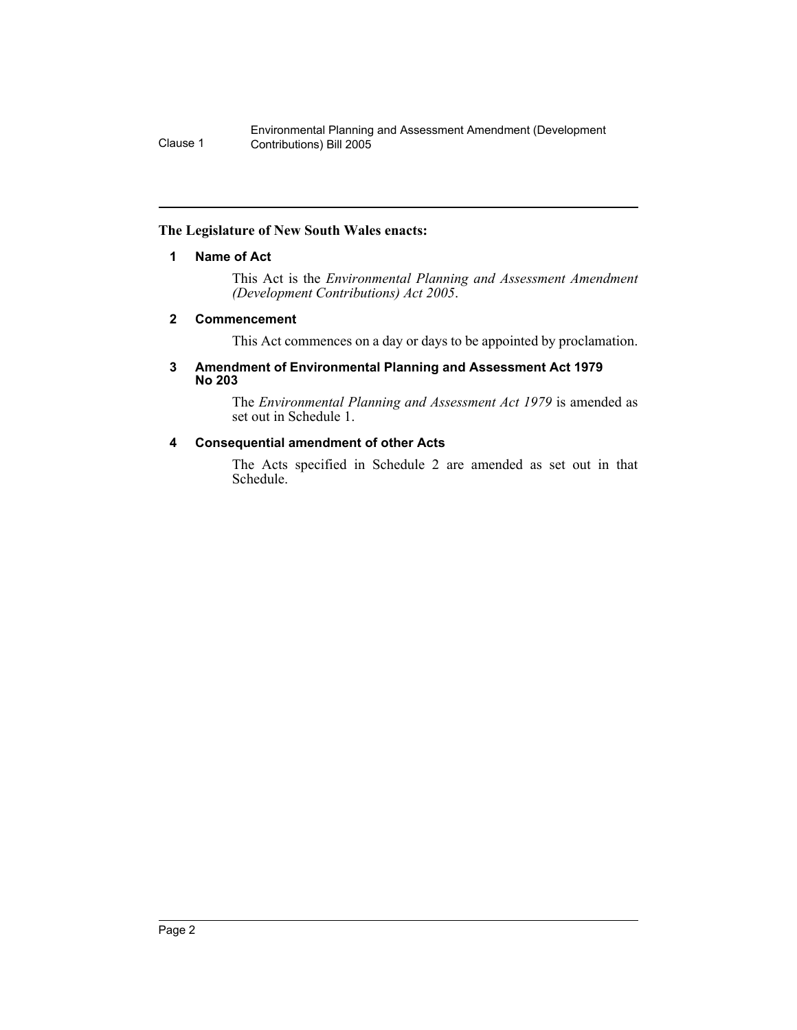#### **The Legislature of New South Wales enacts:**

#### **1 Name of Act**

This Act is the *Environmental Planning and Assessment Amendment (Development Contributions) Act 2005*.

#### **2 Commencement**

This Act commences on a day or days to be appointed by proclamation.

#### **3 Amendment of Environmental Planning and Assessment Act 1979 No 203**

The *Environmental Planning and Assessment Act 1979* is amended as set out in Schedule 1.

## **4 Consequential amendment of other Acts**

The Acts specified in Schedule 2 are amended as set out in that Schedule.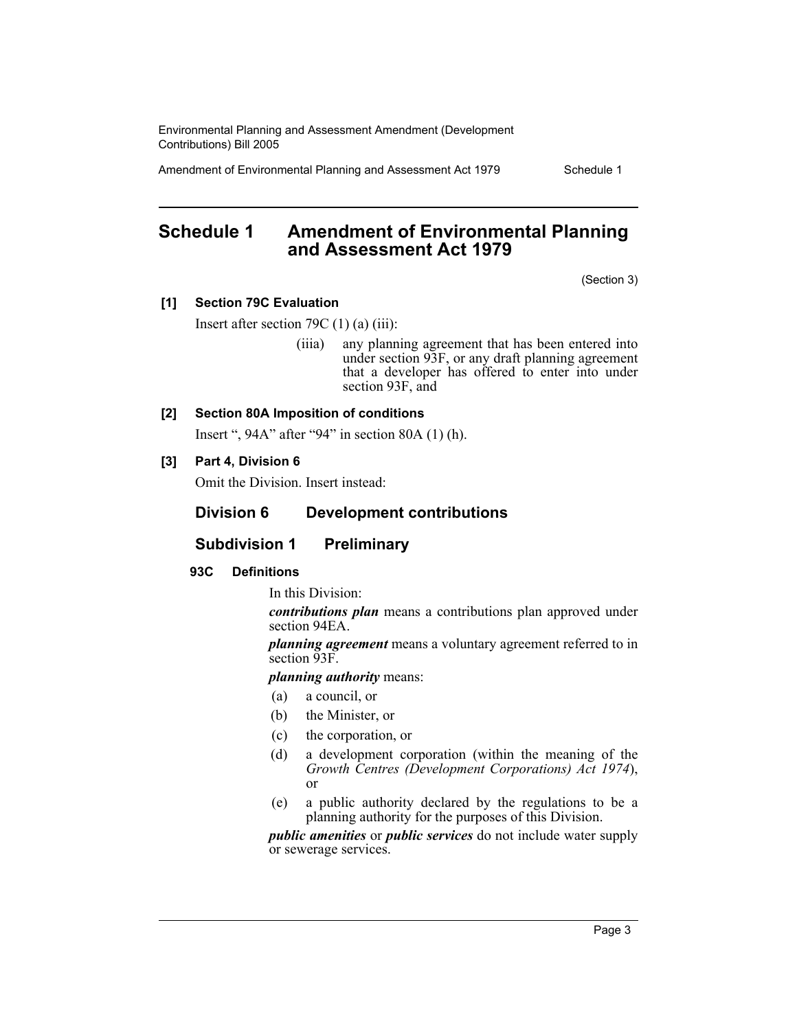Amendment of Environmental Planning and Assessment Act 1979 Schedule 1

## **Schedule 1 Amendment of Environmental Planning and Assessment Act 1979**

(Section 3)

#### **[1] Section 79C Evaluation**

Insert after section 79C (1) (a) (iii):

(iiia) any planning agreement that has been entered into under section 93F, or any draft planning agreement that a developer has offered to enter into under section 93F, and

## **[2] Section 80A Imposition of conditions**

Insert ", 94A" after "94" in section 80A (1) (h).

#### **[3] Part 4, Division 6**

Omit the Division. Insert instead:

#### **Division 6 Development contributions**

## **Subdivision 1 Preliminary**

#### **93C Definitions**

In this Division:

*contributions plan* means a contributions plan approved under section 94EA.

*planning agreement* means a voluntary agreement referred to in section 93F.

*planning authority* means:

- (a) a council, or
- (b) the Minister, or
- (c) the corporation, or
- (d) a development corporation (within the meaning of the *Growth Centres (Development Corporations) Act 1974*), or
- (e) a public authority declared by the regulations to be a planning authority for the purposes of this Division.

*public amenities* or *public services* do not include water supply or sewerage services.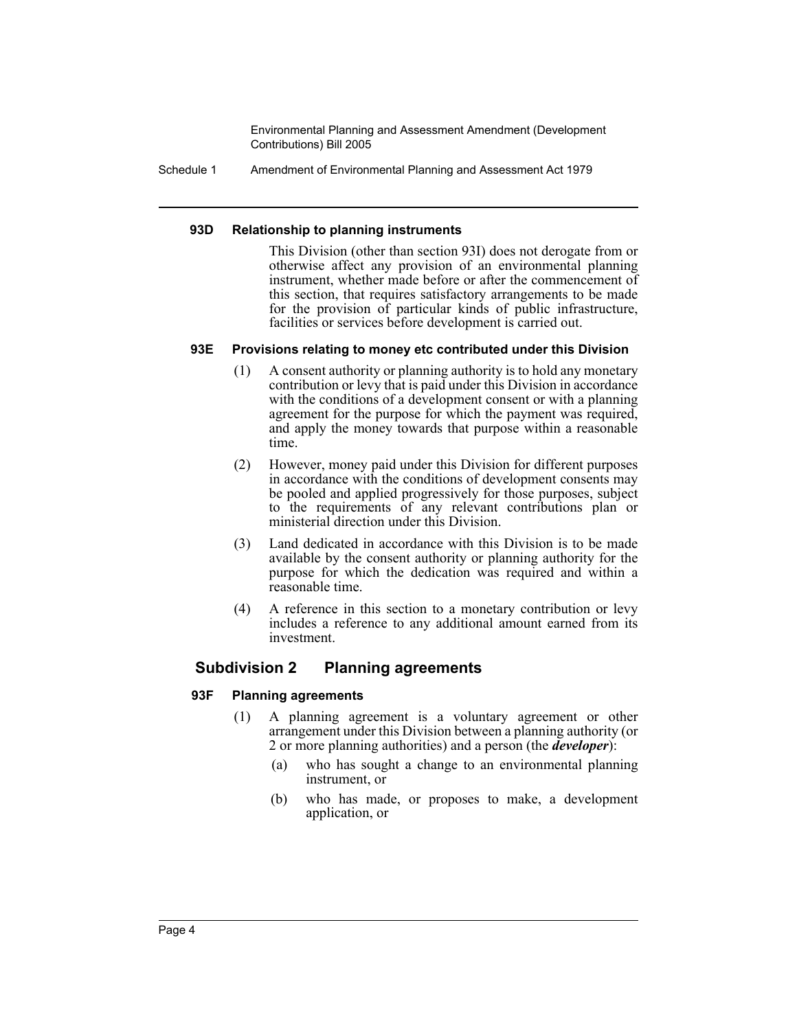Schedule 1 Amendment of Environmental Planning and Assessment Act 1979

#### **93D Relationship to planning instruments**

This Division (other than section 93I) does not derogate from or otherwise affect any provision of an environmental planning instrument, whether made before or after the commencement of this section, that requires satisfactory arrangements to be made for the provision of particular kinds of public infrastructure, facilities or services before development is carried out.

#### **93E Provisions relating to money etc contributed under this Division**

- (1) A consent authority or planning authority is to hold any monetary contribution or levy that is paid under this Division in accordance with the conditions of a development consent or with a planning agreement for the purpose for which the payment was required, and apply the money towards that purpose within a reasonable time.
- (2) However, money paid under this Division for different purposes in accordance with the conditions of development consents may be pooled and applied progressively for those purposes, subject to the requirements of any relevant contributions plan or ministerial direction under this Division.
- (3) Land dedicated in accordance with this Division is to be made available by the consent authority or planning authority for the purpose for which the dedication was required and within a reasonable time.
- (4) A reference in this section to a monetary contribution or levy includes a reference to any additional amount earned from its investment.

## **Subdivision 2 Planning agreements**

#### **93F Planning agreements**

- (1) A planning agreement is a voluntary agreement or other arrangement under this Division between a planning authority (or 2 or more planning authorities) and a person (the *developer*):
	- (a) who has sought a change to an environmental planning instrument, or
	- (b) who has made, or proposes to make, a development application, or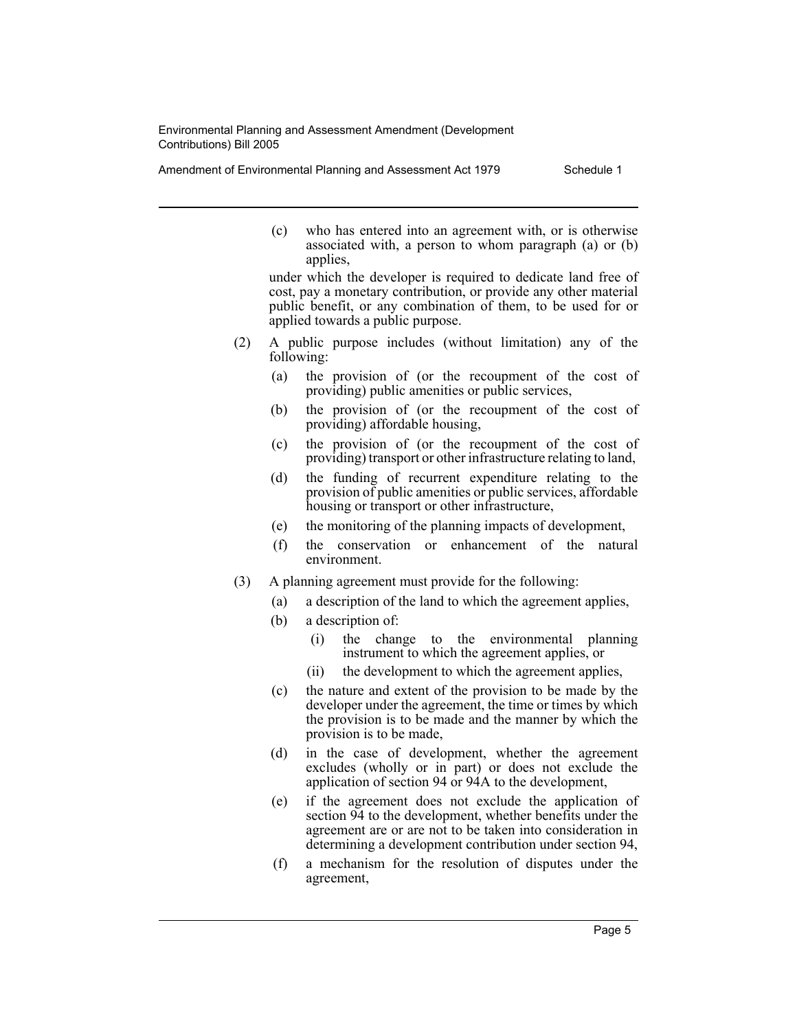Amendment of Environmental Planning and Assessment Act 1979 Schedule 1

(c) who has entered into an agreement with, or is otherwise associated with, a person to whom paragraph (a) or (b) applies,

under which the developer is required to dedicate land free of cost, pay a monetary contribution, or provide any other material public benefit, or any combination of them, to be used for or applied towards a public purpose.

- (2) A public purpose includes (without limitation) any of the following:
	- (a) the provision of (or the recoupment of the cost of providing) public amenities or public services,
	- (b) the provision of (or the recoupment of the cost of providing) affordable housing,
	- (c) the provision of (or the recoupment of the cost of providing) transport or other infrastructure relating to land,
	- (d) the funding of recurrent expenditure relating to the provision of public amenities or public services, affordable housing or transport or other infrastructure,
	- (e) the monitoring of the planning impacts of development,
	- (f) the conservation or enhancement of the natural environment.
- (3) A planning agreement must provide for the following:
	- (a) a description of the land to which the agreement applies,
	- (b) a description of:
		- (i) the change to the environmental planning instrument to which the agreement applies, or
		- (ii) the development to which the agreement applies,
	- (c) the nature and extent of the provision to be made by the developer under the agreement, the time or times by which the provision is to be made and the manner by which the provision is to be made,
	- (d) in the case of development, whether the agreement excludes (wholly or in part) or does not exclude the application of section 94 or 94A to the development,
	- (e) if the agreement does not exclude the application of section  $\frac{94}{4}$  to the development, whether benefits under the agreement are or are not to be taken into consideration in determining a development contribution under section 94,
	- (f) a mechanism for the resolution of disputes under the agreement,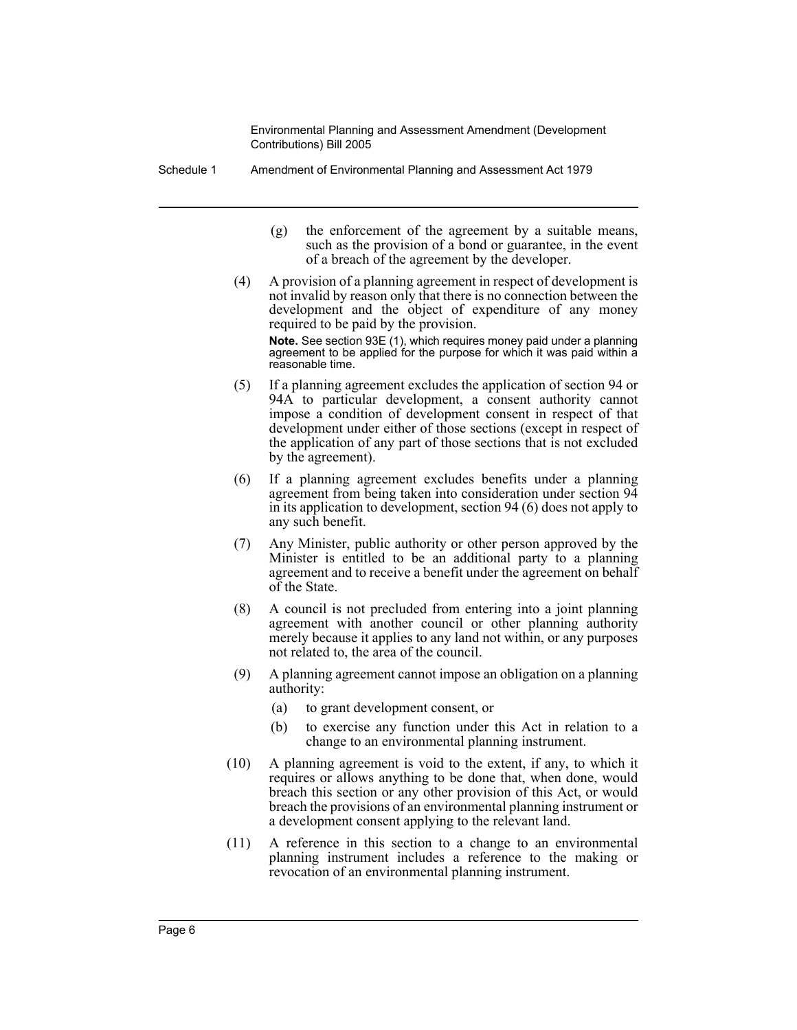- Schedule 1 Amendment of Environmental Planning and Assessment Act 1979
	- (g) the enforcement of the agreement by a suitable means, such as the provision of a bond or guarantee, in the event of a breach of the agreement by the developer.
	- (4) A provision of a planning agreement in respect of development is not invalid by reason only that there is no connection between the development and the object of expenditure of any money required to be paid by the provision.

**Note.** See section 93E (1), which requires money paid under a planning agreement to be applied for the purpose for which it was paid within a reasonable time.

- (5) If a planning agreement excludes the application of section 94 or 94A to particular development, a consent authority cannot impose a condition of development consent in respect of that development under either of those sections (except in respect of the application of any part of those sections that is not excluded by the agreement).
- (6) If a planning agreement excludes benefits under a planning agreement from being taken into consideration under section 94 in its application to development, section 94 (6) does not apply to any such benefit.
- (7) Any Minister, public authority or other person approved by the Minister is entitled to be an additional party to a planning agreement and to receive a benefit under the agreement on behalf of the State.
- (8) A council is not precluded from entering into a joint planning agreement with another council or other planning authority merely because it applies to any land not within, or any purposes not related to, the area of the council.
- (9) A planning agreement cannot impose an obligation on a planning authority:
	- (a) to grant development consent, or
	- (b) to exercise any function under this Act in relation to a change to an environmental planning instrument.
- (10) A planning agreement is void to the extent, if any, to which it requires or allows anything to be done that, when done, would breach this section or any other provision of this Act, or would breach the provisions of an environmental planning instrument or a development consent applying to the relevant land.
- (11) A reference in this section to a change to an environmental planning instrument includes a reference to the making or revocation of an environmental planning instrument.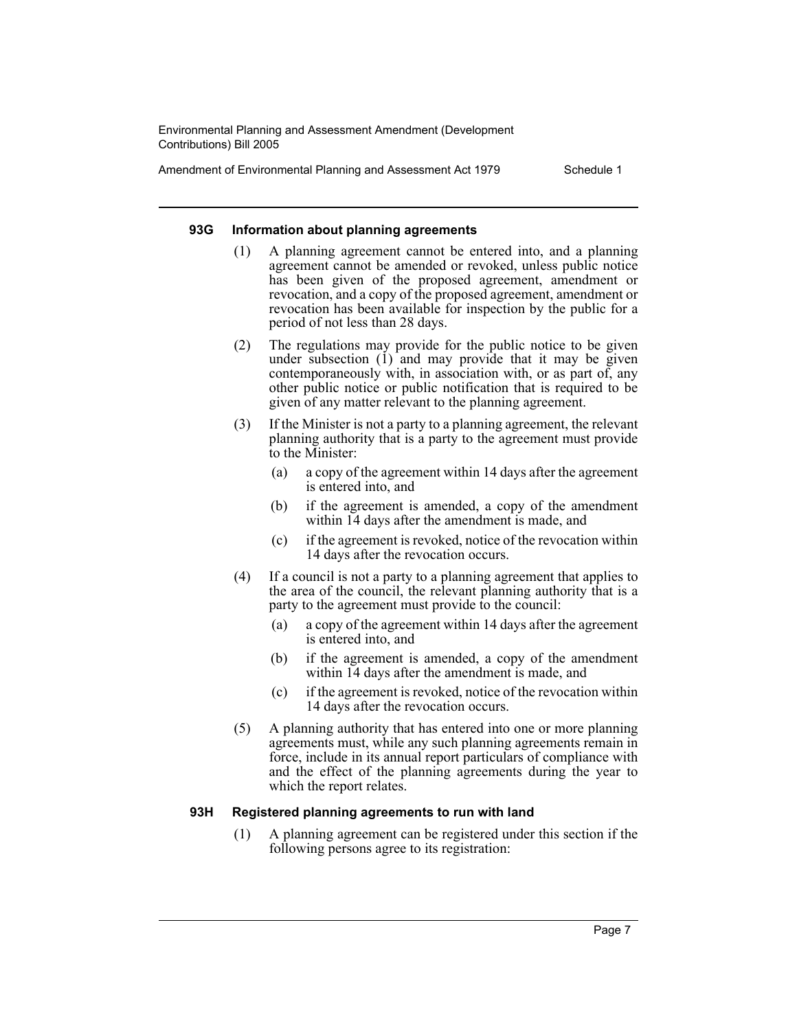Amendment of Environmental Planning and Assessment Act 1979 Schedule 1

#### **93G Information about planning agreements**

- (1) A planning agreement cannot be entered into, and a planning agreement cannot be amended or revoked, unless public notice has been given of the proposed agreement, amendment or revocation, and a copy of the proposed agreement, amendment or revocation has been available for inspection by the public for a period of not less than 28 days.
- (2) The regulations may provide for the public notice to be given under subsection  $(i)$  and may provide that it may be given contemporaneously with, in association with, or as part of, any other public notice or public notification that is required to be given of any matter relevant to the planning agreement.
- (3) If the Minister is not a party to a planning agreement, the relevant planning authority that is a party to the agreement must provide to the Minister:
	- (a) a copy of the agreement within 14 days after the agreement is entered into, and
	- (b) if the agreement is amended, a copy of the amendment within 14 days after the amendment is made, and
	- (c) if the agreement is revoked, notice of the revocation within 14 days after the revocation occurs.
- (4) If a council is not a party to a planning agreement that applies to the area of the council, the relevant planning authority that is a party to the agreement must provide to the council:
	- (a) a copy of the agreement within 14 days after the agreement is entered into, and
	- (b) if the agreement is amended, a copy of the amendment within 14 days after the amendment is made, and
	- (c) if the agreement is revoked, notice of the revocation within 14 days after the revocation occurs.
- (5) A planning authority that has entered into one or more planning agreements must, while any such planning agreements remain in force, include in its annual report particulars of compliance with and the effect of the planning agreements during the year to which the report relates.

#### **93H Registered planning agreements to run with land**

(1) A planning agreement can be registered under this section if the following persons agree to its registration: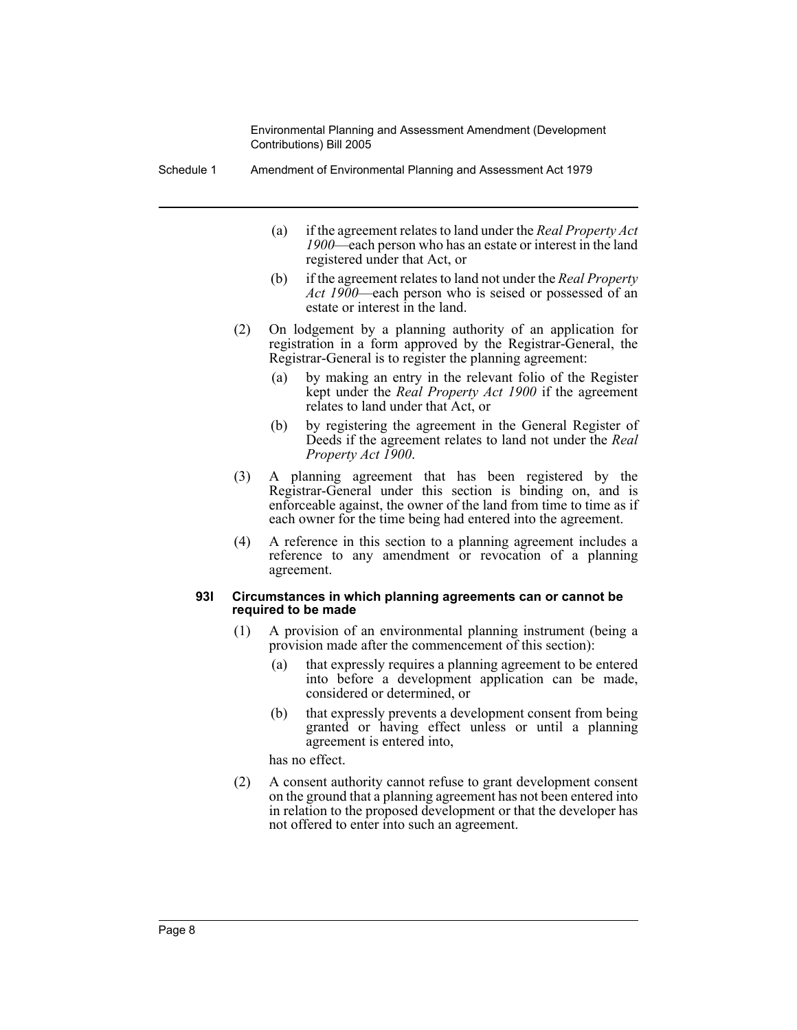Schedule 1 Amendment of Environmental Planning and Assessment Act 1979

- (a) if the agreement relates to land under the *Real Property Act 1900*—each person who has an estate or interest in the land registered under that Act, or
- (b) if the agreement relates to land not under the *Real Property Act 1900*—each person who is seised or possessed of an estate or interest in the land.
- (2) On lodgement by a planning authority of an application for registration in a form approved by the Registrar-General, the Registrar-General is to register the planning agreement:
	- (a) by making an entry in the relevant folio of the Register kept under the *Real Property Act 1900* if the agreement relates to land under that Act, or
	- (b) by registering the agreement in the General Register of Deeds if the agreement relates to land not under the *Real Property Act 1900*.
- (3) A planning agreement that has been registered by the Registrar-General under this section is binding on, and is enforceable against, the owner of the land from time to time as if each owner for the time being had entered into the agreement.
- (4) A reference in this section to a planning agreement includes a reference to any amendment or revocation of a planning agreement.

#### **93I Circumstances in which planning agreements can or cannot be required to be made**

- (1) A provision of an environmental planning instrument (being a provision made after the commencement of this section):
	- (a) that expressly requires a planning agreement to be entered into before a development application can be made, considered or determined, or
	- (b) that expressly prevents a development consent from being granted or having effect unless or until a planning agreement is entered into,

has no effect.

(2) A consent authority cannot refuse to grant development consent on the ground that a planning agreement has not been entered into in relation to the proposed development or that the developer has not offered to enter into such an agreement.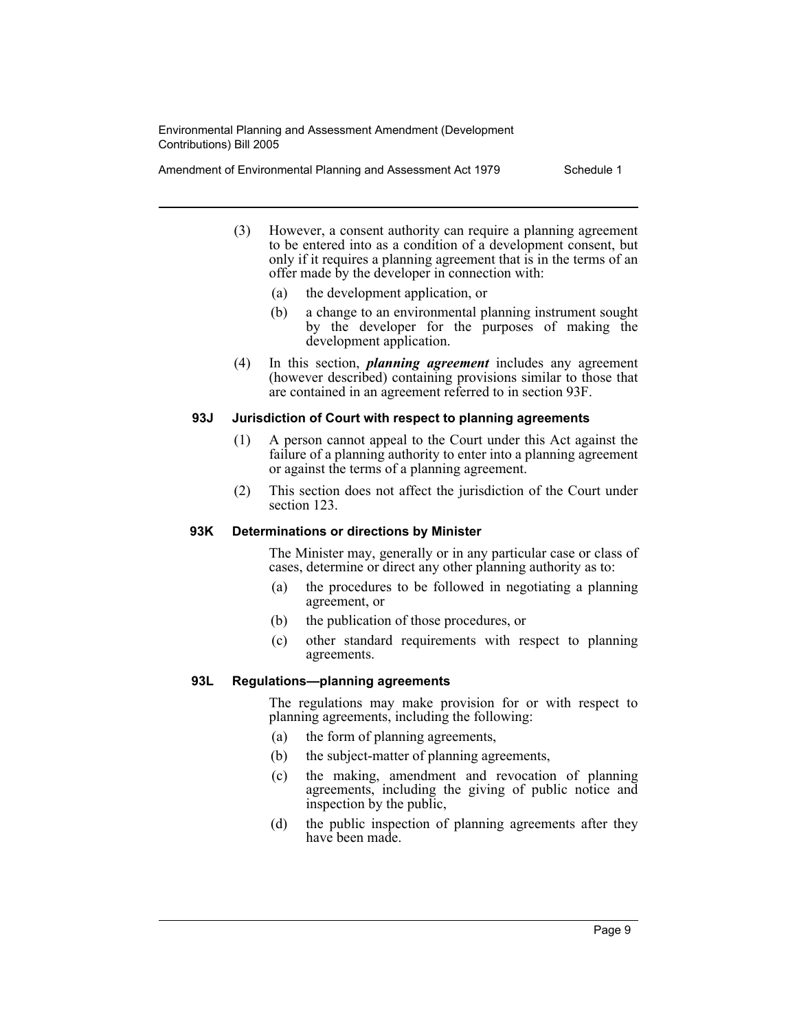Amendment of Environmental Planning and Assessment Act 1979 Schedule 1

- (3) However, a consent authority can require a planning agreement to be entered into as a condition of a development consent, but only if it requires a planning agreement that is in the terms of an offer made by the developer in connection with:
	- (a) the development application, or
	- (b) a change to an environmental planning instrument sought by the developer for the purposes of making the development application.
- (4) In this section, *planning agreement* includes any agreement (however described) containing provisions similar to those that are contained in an agreement referred to in section 93F.

#### **93J Jurisdiction of Court with respect to planning agreements**

- (1) A person cannot appeal to the Court under this Act against the failure of a planning authority to enter into a planning agreement or against the terms of a planning agreement.
- (2) This section does not affect the jurisdiction of the Court under section 123.

#### **93K Determinations or directions by Minister**

The Minister may, generally or in any particular case or class of cases, determine or direct any other planning authority as to:

- (a) the procedures to be followed in negotiating a planning agreement, or
- (b) the publication of those procedures, or
- (c) other standard requirements with respect to planning agreements.

#### **93L Regulations—planning agreements**

The regulations may make provision for or with respect to planning agreements, including the following:

- (a) the form of planning agreements,
- (b) the subject-matter of planning agreements,
- (c) the making, amendment and revocation of planning agreements, including the giving of public notice and inspection by the public,
- (d) the public inspection of planning agreements after they have been made.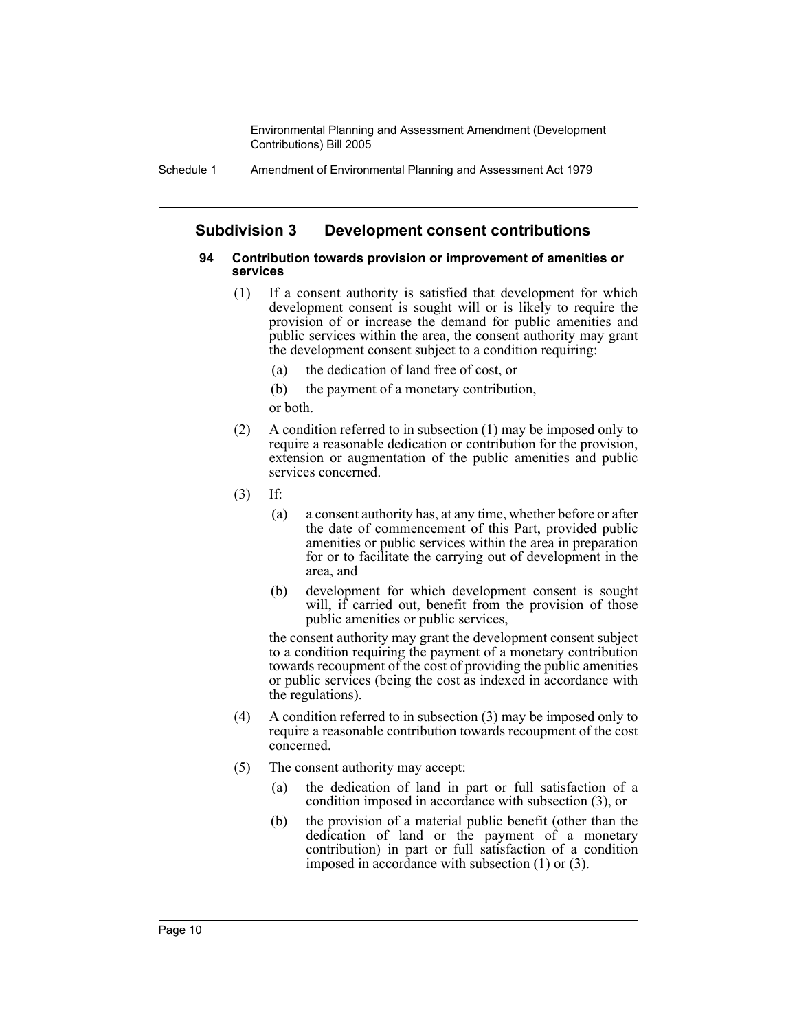Schedule 1 Amendment of Environmental Planning and Assessment Act 1979

## **Subdivision 3 Development consent contributions**

#### **94 Contribution towards provision or improvement of amenities or services**

- (1) If a consent authority is satisfied that development for which development consent is sought will or is likely to require the provision of or increase the demand for public amenities and public services within the area, the consent authority may grant the development consent subject to a condition requiring:
	- (a) the dedication of land free of cost, or

(b) the payment of a monetary contribution, or both.

- (2) A condition referred to in subsection (1) may be imposed only to require a reasonable dedication or contribution for the provision, extension or augmentation of the public amenities and public services concerned.
- (3) If:
	- (a) a consent authority has, at any time, whether before or after the date of commencement of this Part, provided public amenities or public services within the area in preparation for or to facilitate the carrying out of development in the area, and
	- (b) development for which development consent is sought will, if carried out, benefit from the provision of those public amenities or public services,

the consent authority may grant the development consent subject to a condition requiring the payment of a monetary contribution towards recoupment of the cost of providing the public amenities or public services (being the cost as indexed in accordance with the regulations).

- (4) A condition referred to in subsection (3) may be imposed only to require a reasonable contribution towards recoupment of the cost concerned.
- (5) The consent authority may accept:
	- (a) the dedication of land in part or full satisfaction of a condition imposed in accordance with subsection (3), or
	- (b) the provision of a material public benefit (other than the dedication of land or the payment of a monetary contribution) in part or full satisfaction of a condition imposed in accordance with subsection (1) or (3).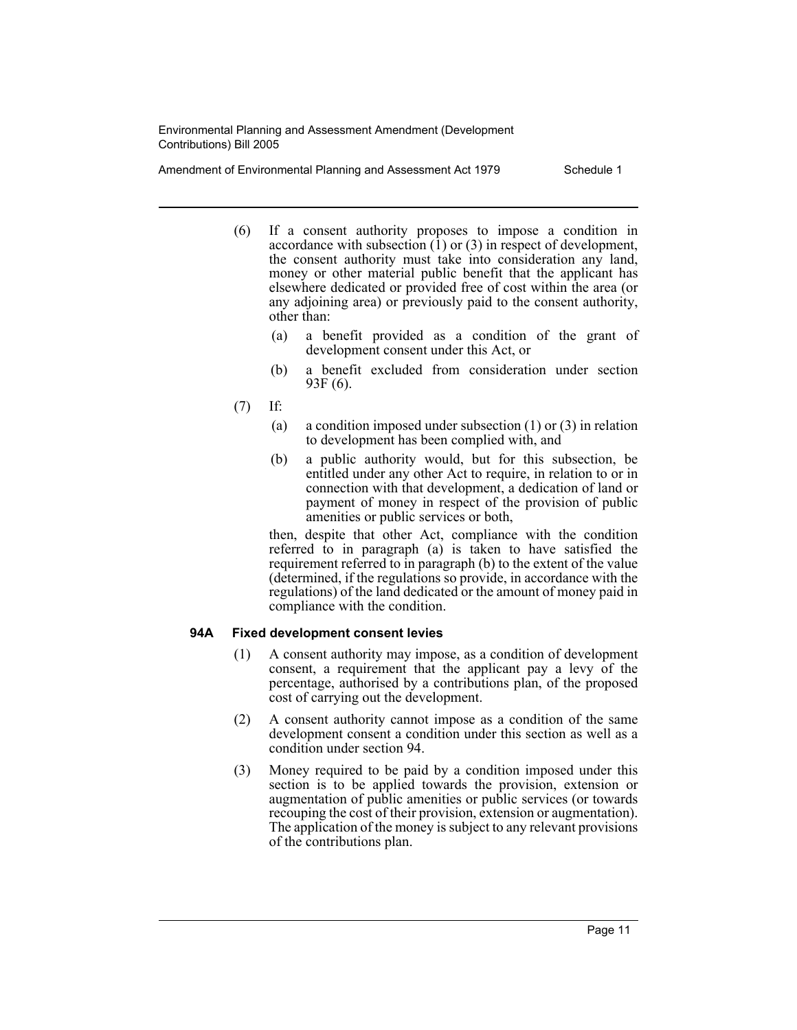Amendment of Environmental Planning and Assessment Act 1979 Schedule 1

- (6) If a consent authority proposes to impose a condition in accordance with subsection  $(1)$  or  $(3)$  in respect of development, the consent authority must take into consideration any land, money or other material public benefit that the applicant has elsewhere dedicated or provided free of cost within the area (or any adjoining area) or previously paid to the consent authority, other than:
	- (a) a benefit provided as a condition of the grant of development consent under this Act, or
	- (b) a benefit excluded from consideration under section 93F (6).
- (7) If:
	- (a) a condition imposed under subsection (1) or (3) in relation to development has been complied with, and
	- (b) a public authority would, but for this subsection, be entitled under any other Act to require, in relation to or in connection with that development, a dedication of land or payment of money in respect of the provision of public amenities or public services or both,

then, despite that other Act, compliance with the condition referred to in paragraph (a) is taken to have satisfied the requirement referred to in paragraph (b) to the extent of the value (determined, if the regulations so provide, in accordance with the regulations) of the land dedicated or the amount of money paid in compliance with the condition.

#### **94A Fixed development consent levies**

- (1) A consent authority may impose, as a condition of development consent, a requirement that the applicant pay a levy of the percentage, authorised by a contributions plan, of the proposed cost of carrying out the development.
- (2) A consent authority cannot impose as a condition of the same development consent a condition under this section as well as a condition under section 94.
- (3) Money required to be paid by a condition imposed under this section is to be applied towards the provision, extension or augmentation of public amenities or public services (or towards recouping the cost of their provision, extension or augmentation). The application of the money is subject to any relevant provisions of the contributions plan.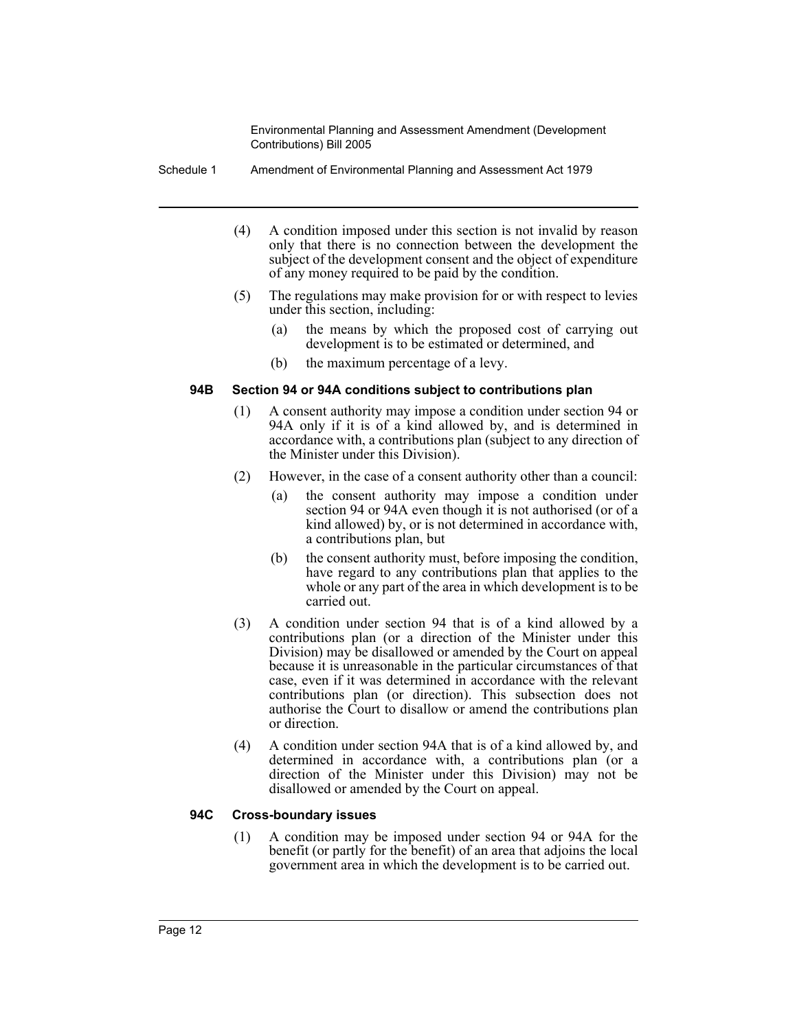Schedule 1 Amendment of Environmental Planning and Assessment Act 1979

- (4) A condition imposed under this section is not invalid by reason only that there is no connection between the development the subject of the development consent and the object of expenditure of any money required to be paid by the condition.
- (5) The regulations may make provision for or with respect to levies under this section, including:
	- (a) the means by which the proposed cost of carrying out development is to be estimated or determined, and
	- (b) the maximum percentage of a levy.

#### **94B Section 94 or 94A conditions subject to contributions plan**

- (1) A consent authority may impose a condition under section 94 or 94A only if it is of a kind allowed by, and is determined in accordance with, a contributions plan (subject to any direction of the Minister under this Division).
- (2) However, in the case of a consent authority other than a council:
	- (a) the consent authority may impose a condition under section 94 or 94A even though it is not authorised (or of a kind allowed) by, or is not determined in accordance with, a contributions plan, but
	- (b) the consent authority must, before imposing the condition, have regard to any contributions plan that applies to the whole or any part of the area in which development is to be carried out.
- (3) A condition under section 94 that is of a kind allowed by a contributions plan (or a direction of the Minister under this Division) may be disallowed or amended by the Court on appeal because it is unreasonable in the particular circumstances of that case, even if it was determined in accordance with the relevant contributions plan (or direction). This subsection does not authorise the Court to disallow or amend the contributions plan or direction.
- (4) A condition under section 94A that is of a kind allowed by, and determined in accordance with, a contributions plan (or a direction of the Minister under this Division) may not be disallowed or amended by the Court on appeal.

#### **94C Cross-boundary issues**

(1) A condition may be imposed under section 94 or 94A for the benefit (or partly for the benefit) of an area that adjoins the local government area in which the development is to be carried out.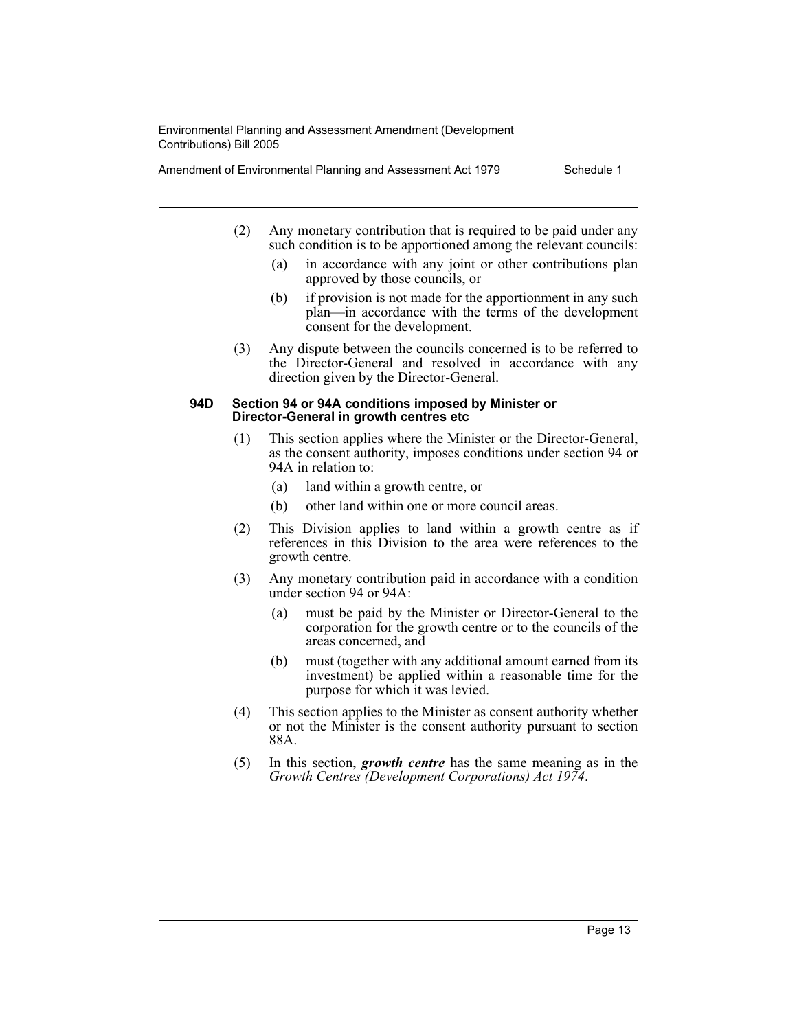Amendment of Environmental Planning and Assessment Act 1979 Schedule 1

- (2) Any monetary contribution that is required to be paid under any such condition is to be apportioned among the relevant councils:
	- (a) in accordance with any joint or other contributions plan approved by those councils, or
	- (b) if provision is not made for the apportionment in any such plan—in accordance with the terms of the development consent for the development.
- (3) Any dispute between the councils concerned is to be referred to the Director-General and resolved in accordance with any direction given by the Director-General.

#### **94D Section 94 or 94A conditions imposed by Minister or Director-General in growth centres etc**

- (1) This section applies where the Minister or the Director-General, as the consent authority, imposes conditions under section 94 or 94A in relation to:
	- (a) land within a growth centre, or
	- (b) other land within one or more council areas.
- (2) This Division applies to land within a growth centre as if references in this Division to the area were references to the growth centre.
- (3) Any monetary contribution paid in accordance with a condition under section 94 or 94A:
	- (a) must be paid by the Minister or Director-General to the corporation for the growth centre or to the councils of the areas concerned, and
	- (b) must (together with any additional amount earned from its investment) be applied within a reasonable time for the purpose for which it was levied.
- (4) This section applies to the Minister as consent authority whether or not the Minister is the consent authority pursuant to section 88A.
- (5) In this section, *growth centre* has the same meaning as in the *Growth Centres (Development Corporations) Act 1974*.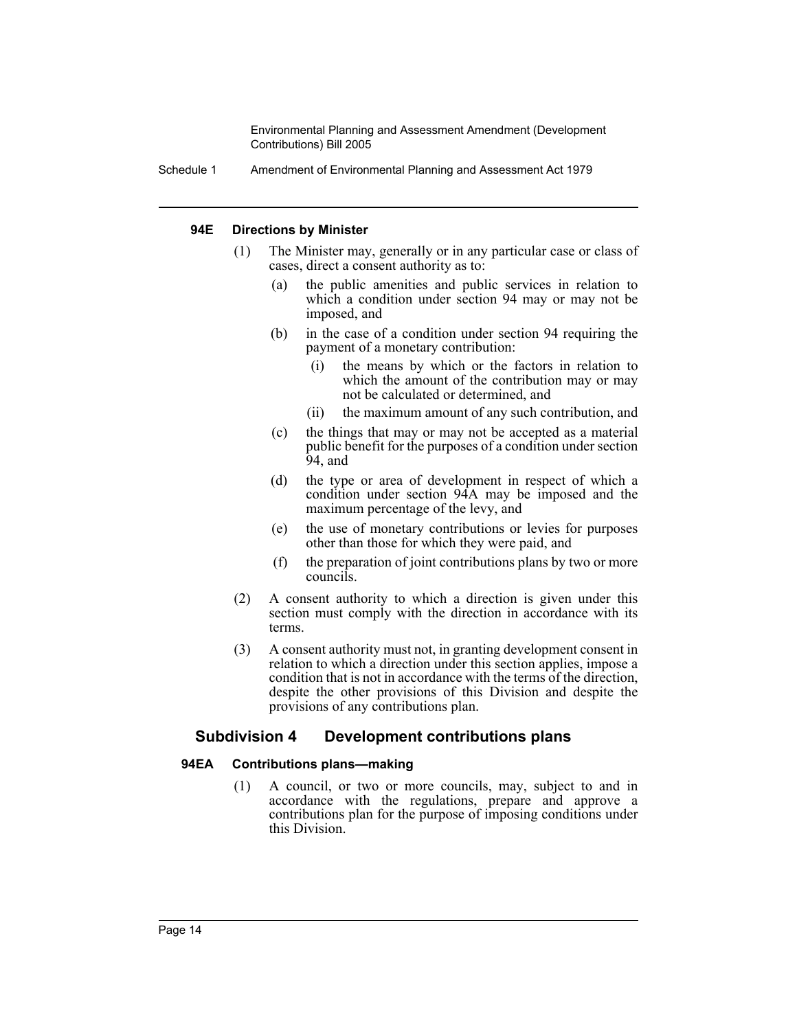Schedule 1 Amendment of Environmental Planning and Assessment Act 1979

#### **94E Directions by Minister**

- (1) The Minister may, generally or in any particular case or class of cases, direct a consent authority as to:
	- (a) the public amenities and public services in relation to which a condition under section 94 may or may not be imposed, and
	- (b) in the case of a condition under section 94 requiring the payment of a monetary contribution:
		- (i) the means by which or the factors in relation to which the amount of the contribution may or may not be calculated or determined, and
		- (ii) the maximum amount of any such contribution, and
	- (c) the things that may or may not be accepted as a material public benefit for the purposes of a condition under section 94, and
	- (d) the type or area of development in respect of which a condition under section 94A may be imposed and the maximum percentage of the levy, and
	- (e) the use of monetary contributions or levies for purposes other than those for which they were paid, and
	- (f) the preparation of joint contributions plans by two or more councils.
- (2) A consent authority to which a direction is given under this section must comply with the direction in accordance with its terms.
- (3) A consent authority must not, in granting development consent in relation to which a direction under this section applies, impose a condition that is not in accordance with the terms of the direction, despite the other provisions of this Division and despite the provisions of any contributions plan.

## **Subdivision 4 Development contributions plans**

#### **94EA Contributions plans—making**

(1) A council, or two or more councils, may, subject to and in accordance with the regulations, prepare and approve a contributions plan for the purpose of imposing conditions under this Division.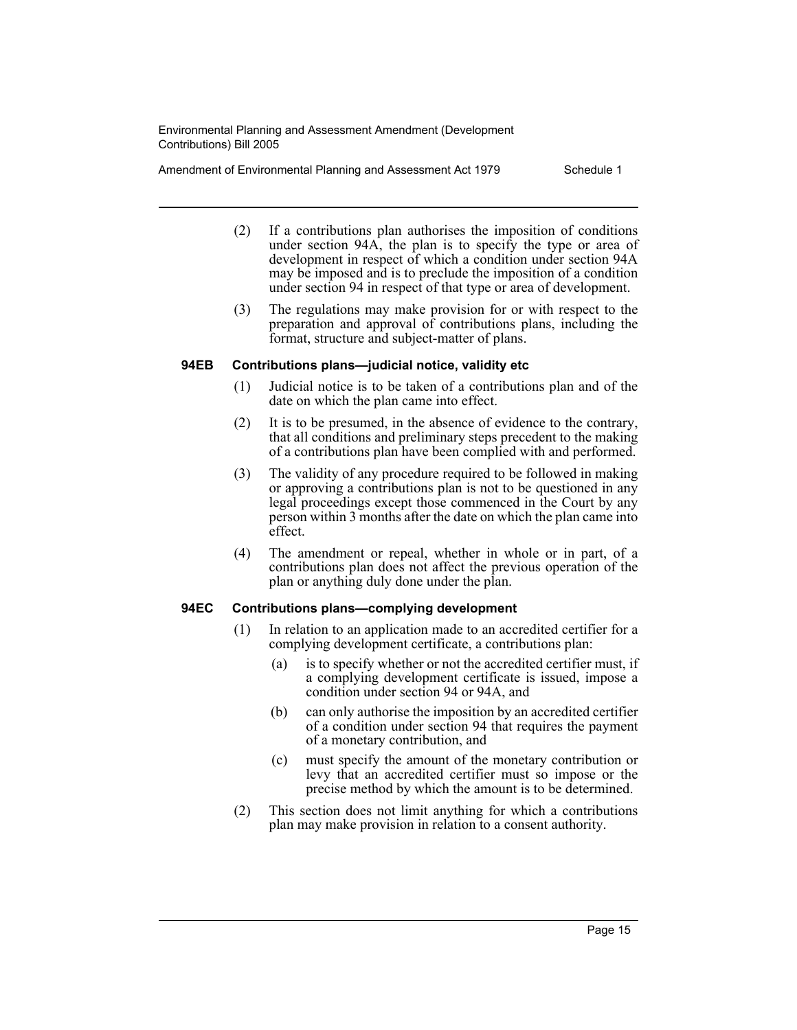Amendment of Environmental Planning and Assessment Act 1979 Schedule 1

- (2) If a contributions plan authorises the imposition of conditions under section 94A, the plan is to specify the type or area of development in respect of which a condition under section 94A may be imposed and is to preclude the imposition of a condition under section 94 in respect of that type or area of development.
- (3) The regulations may make provision for or with respect to the preparation and approval of contributions plans, including the format, structure and subject-matter of plans.

#### **94EB Contributions plans—judicial notice, validity etc**

- (1) Judicial notice is to be taken of a contributions plan and of the date on which the plan came into effect.
- (2) It is to be presumed, in the absence of evidence to the contrary, that all conditions and preliminary steps precedent to the making of a contributions plan have been complied with and performed.
- (3) The validity of any procedure required to be followed in making or approving a contributions plan is not to be questioned in any legal proceedings except those commenced in the Court by any person within 3 months after the date on which the plan came into effect.
- (4) The amendment or repeal, whether in whole or in part, of a contributions plan does not affect the previous operation of the plan or anything duly done under the plan.

#### **94EC Contributions plans—complying development**

- (1) In relation to an application made to an accredited certifier for a complying development certificate, a contributions plan:
	- (a) is to specify whether or not the accredited certifier must, if a complying development certificate is issued, impose a condition under section 94 or 94A, and
	- (b) can only authorise the imposition by an accredited certifier of a condition under section 94 that requires the payment of a monetary contribution, and
	- (c) must specify the amount of the monetary contribution or levy that an accredited certifier must so impose or the precise method by which the amount is to be determined.
- (2) This section does not limit anything for which a contributions plan may make provision in relation to a consent authority.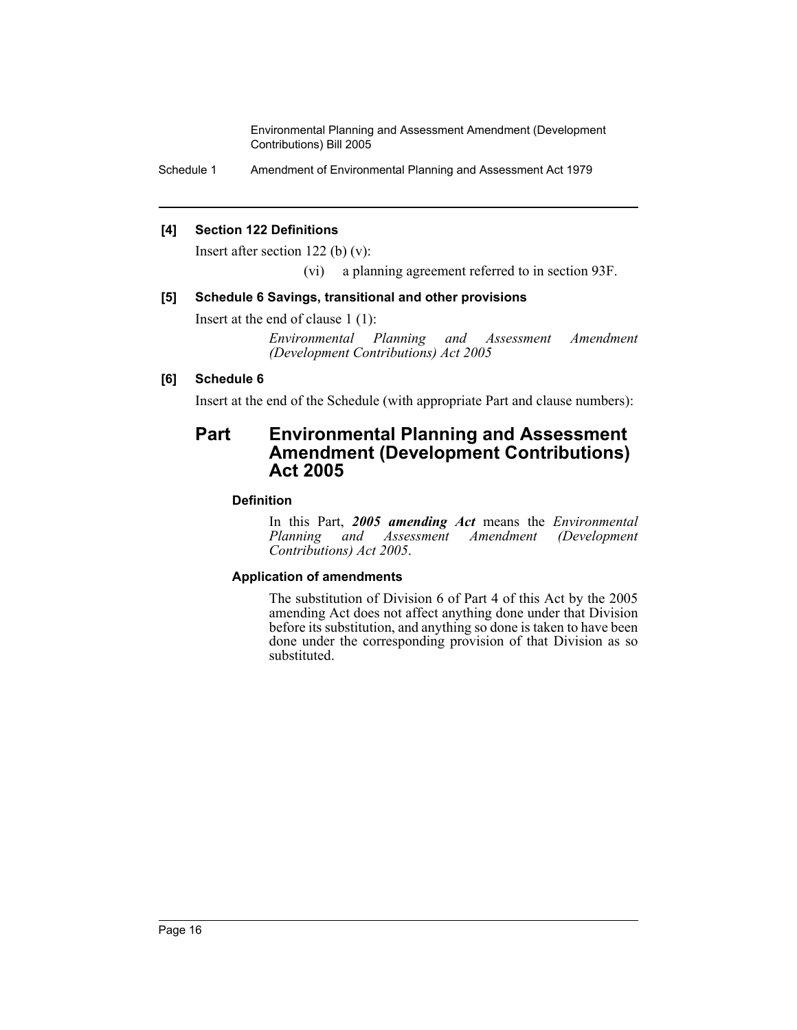Schedule 1 Amendment of Environmental Planning and Assessment Act 1979

## **[4] Section 122 Definitions**

Insert after section 122 (b) (v):

(vi) a planning agreement referred to in section 93F.

## **[5] Schedule 6 Savings, transitional and other provisions**

Insert at the end of clause 1 (1):

*Environmental Planning and Assessment Amendment (Development Contributions) Act 2005*

## **[6] Schedule 6**

Insert at the end of the Schedule (with appropriate Part and clause numbers):

## **Part Environmental Planning and Assessment Amendment (Development Contributions) Act 2005**

## **Definition**

In this Part, *2005 amending Act* means the *Environmental Planning and Assessment Amendment (Development Contributions) Act 2005*.

## **Application of amendments**

The substitution of Division 6 of Part 4 of this Act by the 2005 amending Act does not affect anything done under that Division before its substitution, and anything so done is taken to have been done under the corresponding provision of that Division as so substituted.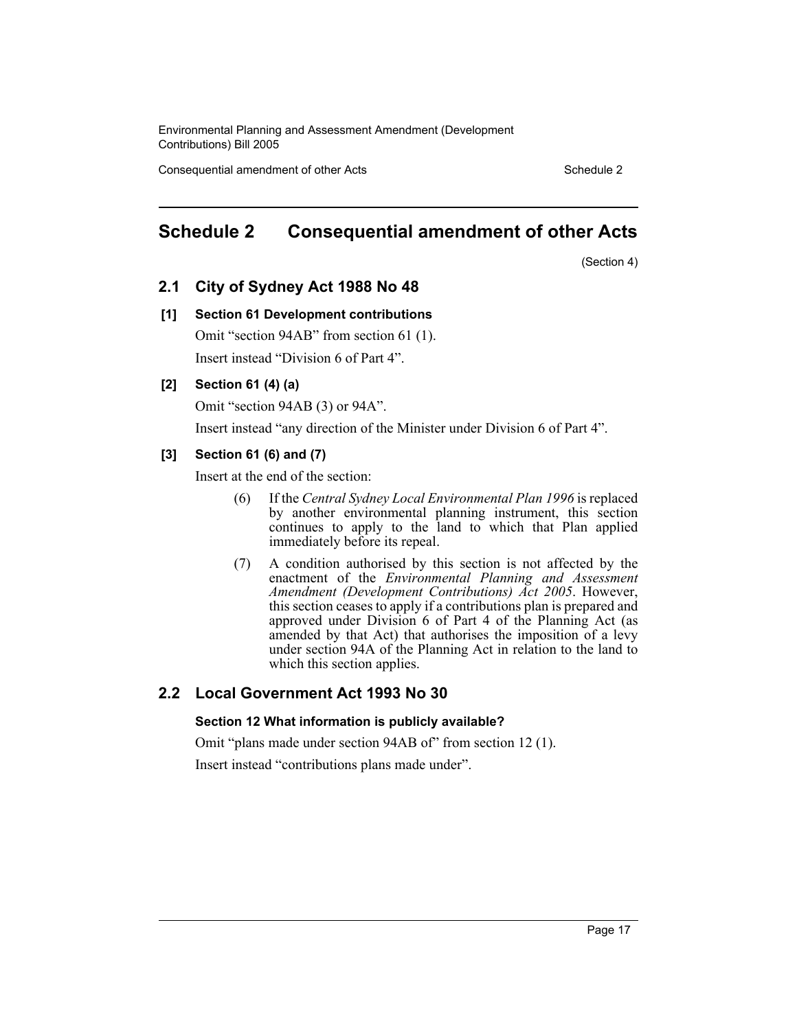Consequential amendment of other Acts Schedule 2 Schedule 2

## **Schedule 2 Consequential amendment of other Acts**

(Section 4)

## **2.1 City of Sydney Act 1988 No 48**

#### **[1] Section 61 Development contributions**

Omit "section 94AB" from section 61 (1). Insert instead "Division 6 of Part 4".

#### **[2] Section 61 (4) (a)**

Omit "section 94AB (3) or 94A".

Insert instead "any direction of the Minister under Division 6 of Part 4".

#### **[3] Section 61 (6) and (7)**

Insert at the end of the section:

- (6) If the *Central Sydney Local Environmental Plan 1996* is replaced by another environmental planning instrument, this section continues to apply to the land to which that Plan applied immediately before its repeal.
- (7) A condition authorised by this section is not affected by the enactment of the *Environmental Planning and Assessment Amendment (Development Contributions) Act 2005*. However, this section ceases to apply if a contributions plan is prepared and approved under Division 6 of Part 4 of the Planning Act (as amended by that Act) that authorises the imposition of a levy under section 94A of the Planning Act in relation to the land to which this section applies.

#### **2.2 Local Government Act 1993 No 30**

#### **Section 12 What information is publicly available?**

Omit "plans made under section 94AB of" from section 12 (1).

Insert instead "contributions plans made under".